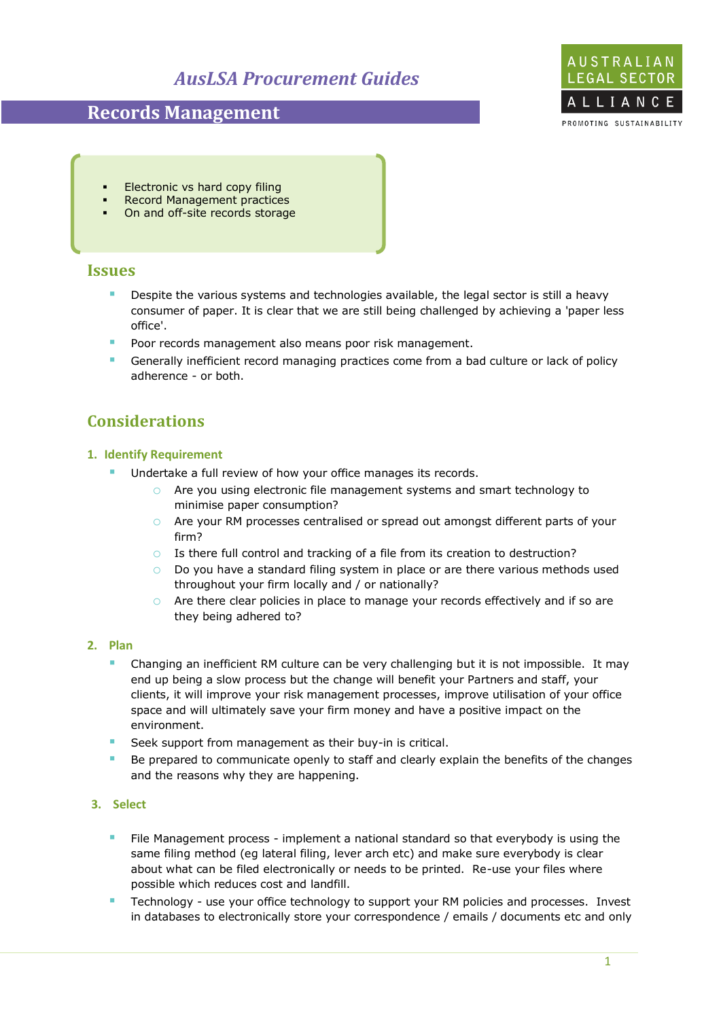# *AusLSA Procurement Guides*

## **Records Management**



- Electronic vs hard copy filing
- Record Management practices
- On and off-site records storage

### **Issues**

- **Despite the various systems and technologies available, the legal sector is still a heavy** consumer of paper. It is clear that we are still being challenged by achieving a 'paper less office'.
- **Poor records management also means poor risk management.**
- Generally inefficient record managing practices come from a bad culture or lack of policy adherence - or both.

## **Considerations**

#### **1. Identify Requirement**

- Undertake a full review of how your office manages its records.
	- o Are you using electronic file management systems and smart technology to minimise paper consumption?
	- o Are your RM processes centralised or spread out amongst different parts of your firm?
	- o Is there full control and tracking of a file from its creation to destruction?
	- $\circ$  Do you have a standard filing system in place or are there various methods used throughout your firm locally and / or nationally?
	- $\circ$  Are there clear policies in place to manage your records effectively and if so are they being adhered to?

#### **2. Plan**

- Changing an inefficient RM culture can be very challenging but it is not impossible. It may end up being a slow process but the change will benefit your Partners and staff, your clients, it will improve your risk management processes, improve utilisation of your office space and will ultimately save your firm money and have a positive impact on the environment.
- Seek support from management as their buy-in is critical.
- Be prepared to communicate openly to staff and clearly explain the benefits of the changes and the reasons why they are happening.

#### **3. Select**

- File Management process implement a national standard so that everybody is using the same filing method (eg lateral filing, lever arch etc) and make sure everybody is clear about what can be filed electronically or needs to be printed. Re-use your files where possible which reduces cost and landfill.
- Technology use your office technology to support your RM policies and processes. Invest in databases to electronically store your correspondence / emails / documents etc and only